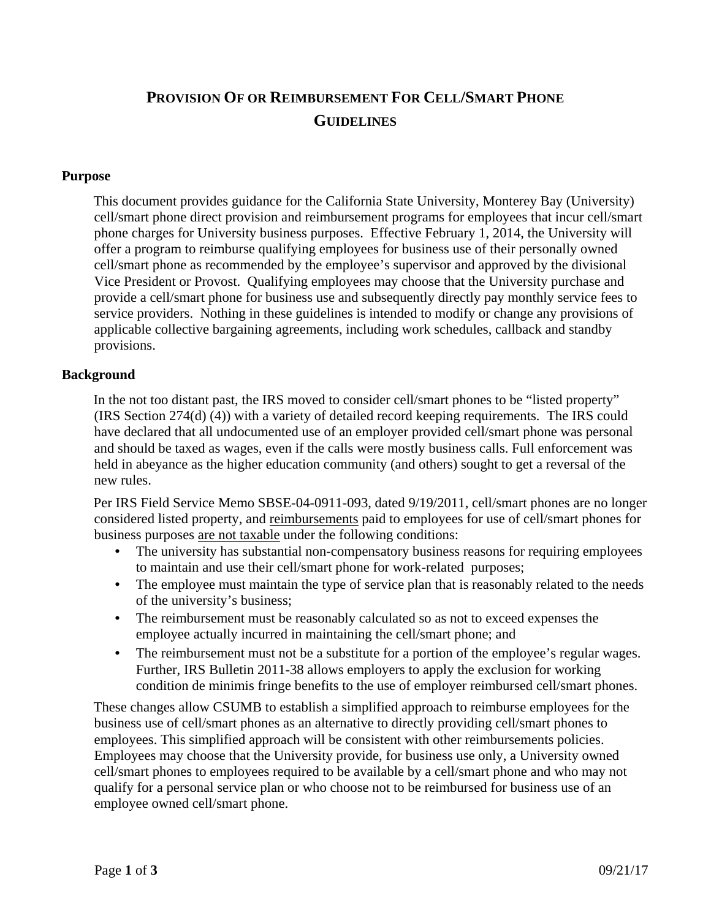# **PROVISION OF OR REIMBURSEMENT FOR CELL/SMART PHONE GUIDELINES**

# **Purpose**

This document provides guidance for the California State University, Monterey Bay (University) cell/smart phone direct provision and reimbursement programs for employees that incur cell/smart phone charges for University business purposes. Effective February 1, 2014, the University will offer a program to reimburse qualifying employees for business use of their personally owned cell/smart phone as recommended by the employee's supervisor and approved by the divisional Vice President or Provost. Qualifying employees may choose that the University purchase and provide a cell/smart phone for business use and subsequently directly pay monthly service fees to service providers. Nothing in these guidelines is intended to modify or change any provisions of applicable collective bargaining agreements, including work schedules, callback and standby provisions.

## **Background**

In the not too distant past, the IRS moved to consider cell/smart phones to be "listed property" (IRS Section 274(d) (4)) with a variety of detailed record keeping requirements. The IRS could have declared that all undocumented use of an employer provided cell/smart phone was personal and should be taxed as wages, even if the calls were mostly business calls. Full enforcement was held in abeyance as the higher education community (and others) sought to get a reversal of the new rules.

Per IRS Field Service Memo SBSE-04-0911-093, dated 9/19/2011, cell/smart phones are no longer considered listed property, and reimbursements paid to employees for use of cell/smart phones for business purposes are not taxable under the following conditions:

- The university has substantial non-compensatory business reasons for requiring employees to maintain and use their cell/smart phone for work-related purposes;
- The employee must maintain the type of service plan that is reasonably related to the needs of the university's business;
- The reimbursement must be reasonably calculated so as not to exceed expenses the employee actually incurred in maintaining the cell/smart phone; and
- The reimbursement must not be a substitute for a portion of the employee's regular wages. Further, IRS Bulletin 2011-38 allows employers to apply the exclusion for working condition de minimis fringe benefits to the use of employer reimbursed cell/smart phones.

These changes allow CSUMB to establish a simplified approach to reimburse employees for the business use of cell/smart phones as an alternative to directly providing cell/smart phones to employees. This simplified approach will be consistent with other reimbursements policies. Employees may choose that the University provide, for business use only, a University owned cell/smart phones to employees required to be available by a cell/smart phone and who may not qualify for a personal service plan or who choose not to be reimbursed for business use of an employee owned cell/smart phone.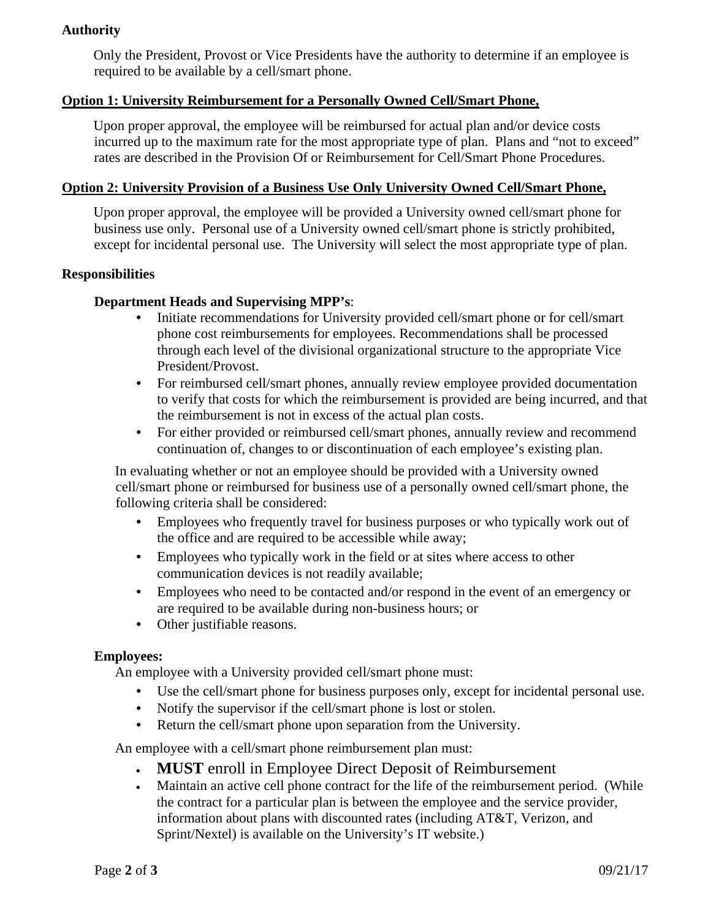# **Authority**

Only the President, Provost or Vice Presidents have the authority to determine if an employee is required to be available by a cell/smart phone.

## **Option 1: University Reimbursement for a Personally Owned Cell/Smart Phone,**

Upon proper approval, the employee will be reimbursed for actual plan and/or device costs incurred up to the maximum rate for the most appropriate type of plan. Plans and "not to exceed" rates are described in the Provision Of or Reimbursement for Cell/Smart Phone Procedures.

#### **Option 2: University Provision of a Business Use Only University Owned Cell/Smart Phone,**

Upon proper approval, the employee will be provided a University owned cell/smart phone for business use only. Personal use of a University owned cell/smart phone is strictly prohibited, except for incidental personal use. The University will select the most appropriate type of plan.

#### **Responsibilities**

### **Department Heads and Supervising MPP's**:

- Initiate recommendations for University provided cell/smart phone or for cell/smart phone cost reimbursements for employees. Recommendations shall be processed through each level of the divisional organizational structure to the appropriate Vice President/Provost.
- For reimbursed cell/smart phones, annually review employee provided documentation to verify that costs for which the reimbursement is provided are being incurred, and that the reimbursement is not in excess of the actual plan costs.
- For either provided or reimbursed cell/smart phones, annually review and recommend continuation of, changes to or discontinuation of each employee's existing plan.

In evaluating whether or not an employee should be provided with a University owned cell/smart phone or reimbursed for business use of a personally owned cell/smart phone, the following criteria shall be considered:

- Employees who frequently travel for business purposes or who typically work out of the office and are required to be accessible while away;
- Employees who typically work in the field or at sites where access to other communication devices is not readily available;
- Employees who need to be contacted and/or respond in the event of an emergency or are required to be available during non-business hours; or
- Other justifiable reasons.

#### **Employees:**

An employee with a University provided cell/smart phone must:

- Use the cell/smart phone for business purposes only, except for incidental personal use.
- Notify the supervisor if the cell/smart phone is lost or stolen.
- Return the cell/smart phone upon separation from the University.

An employee with a cell/smart phone reimbursement plan must:

- **MUST** enroll in Employee Direct Deposit of Reimbursement
- Maintain an active cell phone contract for the life of the reimbursement period. (While the contract for a particular plan is between the employee and the service provider, information about plans with discounted rates (including AT&T, Verizon, and Sprint/Nextel) is available on the University's IT website.)